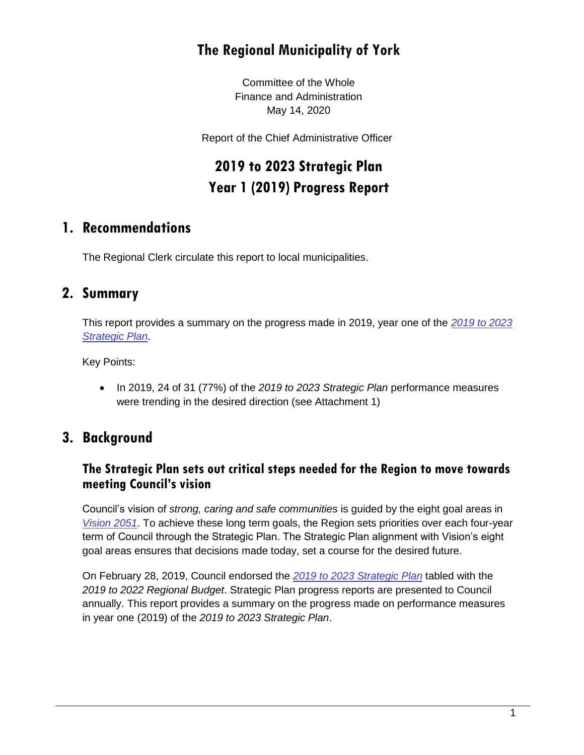## **The Regional Municipality of York**

Committee of the Whole Finance and Administration May 14, 2020

Report of the Chief Administrative Officer

# **2019 to 2023 Strategic Plan Year 1 (2019) Progress Report**

## **1. Recommendations**

The Regional Clerk circulate this report to local municipalities.

## **2. Summary**

This report provides a summary on the progress made in 2019, year one of the *[2019 to 2023](https://www.york.ca/wps/wcm/connect/yorkpublic/e9612765-7323-40bf-904c-715cd0c21d6b/18453_CorporateStrategicPlan-Approved.pdf?MOD=AJPERES&CVID=mLVOUvn)  [Strategic Plan](https://www.york.ca/wps/wcm/connect/yorkpublic/e9612765-7323-40bf-904c-715cd0c21d6b/18453_CorporateStrategicPlan-Approved.pdf?MOD=AJPERES&CVID=mLVOUvn)*.

Key Points:

 In 2019, 24 of 31 (77%) of the *2019 to 2023 Strategic Plan* performance measures were trending in the desired direction (see Attachment 1)

## **3. Background**

#### **The Strategic Plan sets out critical steps needed for the Region to move towards meeting Council's vision**

Council's vision of *strong, caring and safe communities* is guided by the eight goal areas in *[Vision 2051](http://www.york.ca/wps/portal/yorkhome/yorkregion/yr/plansreportsandstrategies/vision2051/vision2051/!ut/p/a1/jY_LCsIwEEW_pR8gmYY-4jJGNEktdWfNRgLWGqhpaEIXfr1V3LjQOqsZOJczFylUI2X1aFodTG9197xVdhJ0KzgvQFYJYUChohLnBEiRT8BxAuDLUJjLyz8EeChZ2SLldLgujL30qHadtn5oXD#.W6vBMvlKjmE)*. To achieve these long term goals, the Region sets priorities over each four-year term of Council through the Strategic Plan. The Strategic Plan alignment with Vision's eight goal areas ensures that decisions made today, set a course for the desired future.

On February 28, 2019, Council endorsed the *[2019 to 2023 Strategic Plan](https://www.york.ca/wps/wcm/connect/yorkpublic/e9612765-7323-40bf-904c-715cd0c21d6b/18453_CorporateStrategicPlan-Approved.pdf?MOD=AJPERES&CVID=mLVOUvn)* tabled with the *2019 to 2022 Regional Budget*. Strategic Plan progress reports are presented to Council annually. This report provides a summary on the progress made on performance measures in year one (2019) of the *2019 to 2023 Strategic Plan*.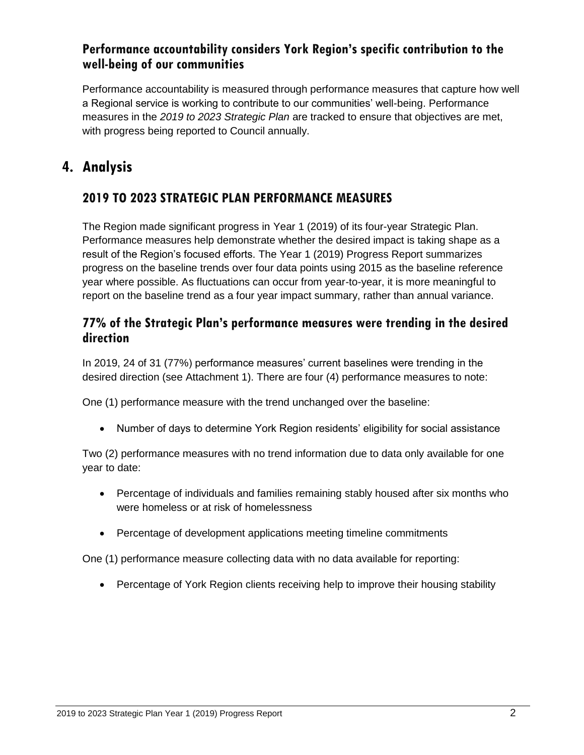#### **Performance accountability considers York Region's specific contribution to the well-being of our communities**

Performance accountability is measured through performance measures that capture how well a Regional service is working to contribute to our communities' well-being. Performance measures in the *2019 to 2023 Strategic Plan* are tracked to ensure that objectives are met, with progress being reported to Council annually.

## **4. Analysis**

#### **2019 TO 2023 STRATEGIC PLAN PERFORMANCE MEASURES**

The Region made significant progress in Year 1 (2019) of its four-year Strategic Plan. Performance measures help demonstrate whether the desired impact is taking shape as a result of the Region's focused efforts. The Year 1 (2019) Progress Report summarizes progress on the baseline trends over four data points using 2015 as the baseline reference year where possible. As fluctuations can occur from year-to-year, it is more meaningful to report on the baseline trend as a four year impact summary, rather than annual variance.

#### **77% of the Strategic Plan's performance measures were trending in the desired direction**

In 2019, 24 of 31 (77%) performance measures' current baselines were trending in the desired direction (see Attachment 1). There are four (4) performance measures to note:

One (1) performance measure with the trend unchanged over the baseline:

Number of days to determine York Region residents' eligibility for social assistance

Two (2) performance measures with no trend information due to data only available for one year to date:

- Percentage of individuals and families remaining stably housed after six months who were homeless or at risk of homelessness
- Percentage of development applications meeting timeline commitments

One (1) performance measure collecting data with no data available for reporting:

• Percentage of York Region clients receiving help to improve their housing stability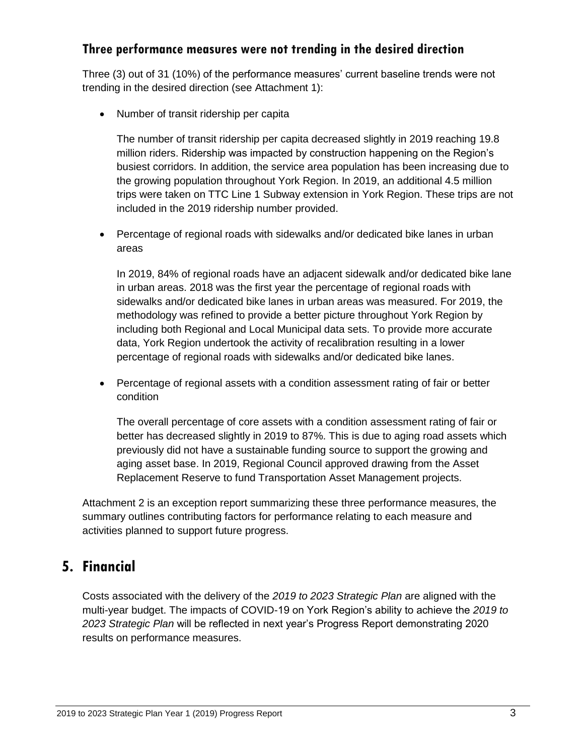#### **Three performance measures were not trending in the desired direction**

Three (3) out of 31 (10%) of the performance measures' current baseline trends were not trending in the desired direction (see Attachment 1):

• Number of transit ridership per capita

The number of transit ridership per capita decreased slightly in 2019 reaching 19.8 million riders. Ridership was impacted by construction happening on the Region's busiest corridors. In addition, the service area population has been increasing due to the growing population throughout York Region. In 2019, an additional 4.5 million trips were taken on TTC Line 1 Subway extension in York Region. These trips are not included in the 2019 ridership number provided.

 Percentage of regional roads with sidewalks and/or dedicated bike lanes in urban areas

In 2019, 84% of regional roads have an adjacent sidewalk and/or dedicated bike lane in urban areas. 2018 was the first year the percentage of regional roads with sidewalks and/or dedicated bike lanes in urban areas was measured. For 2019, the methodology was refined to provide a better picture throughout York Region by including both Regional and Local Municipal data sets. To provide more accurate data, York Region undertook the activity of recalibration resulting in a lower percentage of regional roads with sidewalks and/or dedicated bike lanes.

 Percentage of regional assets with a condition assessment rating of fair or better condition

The overall percentage of core assets with a condition assessment rating of fair or better has decreased slightly in 2019 to 87%. This is due to aging road assets which previously did not have a sustainable funding source to support the growing and aging asset base. In 2019, Regional Council approved drawing from the Asset Replacement Reserve to fund Transportation Asset Management projects.

Attachment 2 is an exception report summarizing these three performance measures, the summary outlines contributing factors for performance relating to each measure and activities planned to support future progress.

## **5. Financial**

Costs associated with the delivery of the *2019 to 2023 Strategic Plan* are aligned with the multi-year budget. The impacts of COVID-19 on York Region's ability to achieve the *2019 to 2023 Strategic Plan* will be reflected in next year's Progress Report demonstrating 2020 results on performance measures.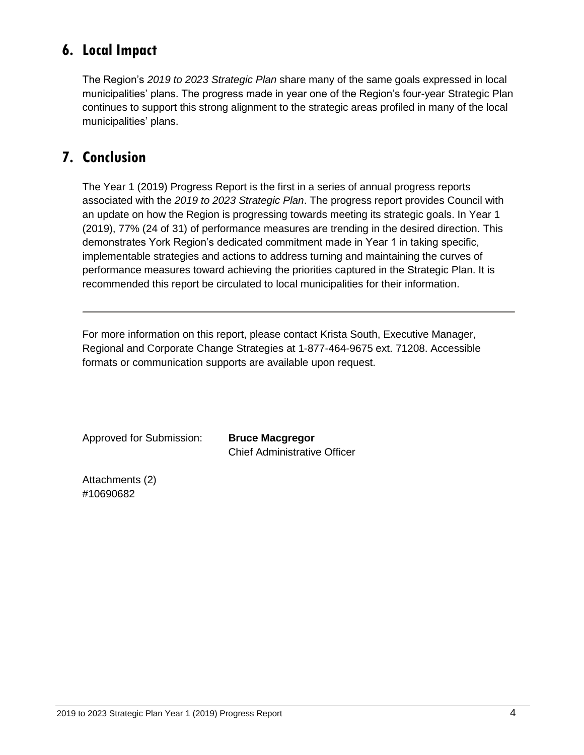## **6. Local Impact**

The Region's *2019 to 2023 Strategic Plan* share many of the same goals expressed in local municipalities' plans. The progress made in year one of the Region's four-year Strategic Plan continues to support this strong alignment to the strategic areas profiled in many of the local municipalities' plans.

## **7. Conclusion**

The Year 1 (2019) Progress Report is the first in a series of annual progress reports associated with the *2019 to 2023 Strategic Plan*. The progress report provides Council with an update on how the Region is progressing towards meeting its strategic goals. In Year 1 (2019), 77% (24 of 31) of performance measures are trending in the desired direction. This demonstrates York Region's dedicated commitment made in Year 1 in taking specific, implementable strategies and actions to address turning and maintaining the curves of performance measures toward achieving the priorities captured in the Strategic Plan. It is recommended this report be circulated to local municipalities for their information.

For more information on this report, please contact Krista South, Executive Manager, Regional and Corporate Change Strategies at 1-877-464-9675 ext. 71208. Accessible formats or communication supports are available upon request.

| Approved for Submission: | <b>Bruce Macgregor</b>              |
|--------------------------|-------------------------------------|
|                          | <b>Chief Administrative Officer</b> |

Attachments (2) #10690682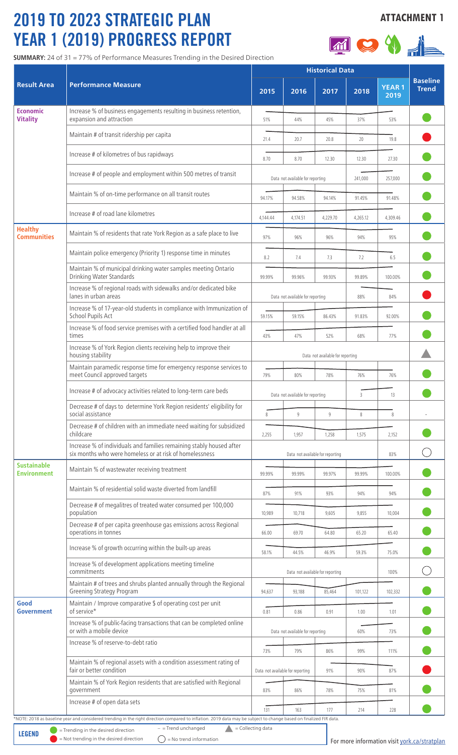# 2019 TO 2023 STRATEGIC PLAN YEAR 1 (2019) PROGRESS REPORT

**SUMMARY:** 24 of 31 = 77% of Performance Measures Trending in the Desired Direction

## **ATTACHMENT 1**



| <b>Result Area</b>                       | <b>Performance Measure</b>                                                                                                                                         | <b>Historical Data</b>                    |                                  |          |          |                      |                                 |
|------------------------------------------|--------------------------------------------------------------------------------------------------------------------------------------------------------------------|-------------------------------------------|----------------------------------|----------|----------|----------------------|---------------------------------|
|                                          |                                                                                                                                                                    | 2015                                      | 2016                             | 2017     | 2018     | <b>YEAR1</b><br>2019 | <b>Baseline</b><br><b>Trend</b> |
| <b>Economic</b><br><b>Vitality</b>       | Increase % of business engagements resulting in business retention,<br>expansion and attraction                                                                    | 51%                                       | 44%                              | 45%      | 37%      | 53%                  |                                 |
|                                          | Maintain # of transit ridership per capita                                                                                                                         | 21.4                                      | 20.7                             | 20.8     | 20       | 19.8                 |                                 |
|                                          | Increase # of kilometres of bus rapidways                                                                                                                          | 8.70                                      | 8.70                             | 12.30    | 12.30    | 27.30                |                                 |
|                                          | Increase # of people and employment within 500 metres of transit                                                                                                   | Data not available for reporting          |                                  |          | 241,000  | 257,000              |                                 |
|                                          | Maintain % of on-time performance on all transit routes                                                                                                            | 94.17%                                    | 94.58%                           | 94.14%   | 91.45%   | 91.48%               |                                 |
|                                          | Increase # of road lane kilometres                                                                                                                                 | 4,144.44                                  | 4,174.51                         | 4,229.70 | 4,265.12 | 4,309.46             |                                 |
| <b>Healthy</b><br><b>Communities</b>     | Maintain % of residents that rate York Region as a safe place to live                                                                                              | 97%                                       | 96%                              | 96%      | 94%      | 95%                  |                                 |
|                                          | Maintain police emergency (Priority 1) response time in minutes                                                                                                    | 8.2                                       | 7.4                              | 7.3      | 7.2      | 6.5                  |                                 |
|                                          | Maintain % of municipal drinking water samples meeting Ontario<br>Drinking Water Standards                                                                         | 99.99%                                    | 99.96%                           | 99.93%   | 99.89%   | 100.00%              |                                 |
|                                          | Increase % of regional roads with sidewalks and/or dedicated bike<br>lanes in urban areas                                                                          | Data not available for reporting          |                                  |          | 88%      | 84%                  |                                 |
|                                          | Increase % of 17-year-old students in compliance with Immunization of<br>School Pupils Act                                                                         | 59.15%                                    | 59.15%                           | 86.43%   | 91.83%   | 92.00%               |                                 |
|                                          | Increase % of food service premises with a certified food handler at all<br>times                                                                                  | 43%                                       | 47%                              | 52%      | 68%      | 77%                  |                                 |
|                                          | Increase % of York Region clients receiving help to improve their<br>housing stability                                                                             | Data not available for reporting          |                                  |          |          |                      |                                 |
|                                          | Maintain paramedic response time for emergency response services to<br>meet Council approved targets                                                               | 79%                                       | 80%                              | 78%      | 76%      | 76%                  |                                 |
|                                          | Increase # of advocacy activities related to long-term care beds                                                                                                   |                                           | Data not available for reporting |          | 3        | 13                   |                                 |
|                                          | Decrease # of days to determine York Region residents' eligibility for<br>social assistance                                                                        | 8                                         | 9                                | 9        | $\,8\,$  | 8                    |                                 |
|                                          | Decrease # of children with an immediate need waiting for subsidized<br>childcare                                                                                  |                                           |                                  |          |          |                      |                                 |
|                                          | Increase % of individuals and families remaining stably housed after<br>six months who were homeless or at risk of homelessness                                    | 2,255<br>1,957<br>1,258<br>1,575<br>2,152 |                                  |          |          |                      |                                 |
| <b>Sustainable</b><br><b>Environment</b> |                                                                                                                                                                    | Data not available for reporting          |                                  |          |          | 83%                  |                                 |
|                                          | Maintain % of wastewater receiving treatment                                                                                                                       | 99.99%                                    | 99.99%                           | 99.97%   | 99.99%   | 100.00%              |                                 |
|                                          | Maintain % of residential solid waste diverted from landfill                                                                                                       | 87%                                       | 91%                              | 93%      | 94%      | 94%                  |                                 |
|                                          | Decrease # of megalitres of treated water consumed per 100,000<br>population                                                                                       | 10,989                                    | 10,718                           | 9,605    | 9,855    | 10,004               |                                 |
|                                          | Decrease # of per capita greenhouse gas emissions across Regional<br>operations in tonnes                                                                          | 66.00                                     | 69.70                            | 64.80    | 65.20    | 65.40                |                                 |
|                                          | Increase % of growth occurring within the built-up areas                                                                                                           | 58.1%                                     | 44.5%                            | 46.9%    | 59.3%    | 75.0%                |                                 |
|                                          | Increase % of development applications meeting timeline<br>commitments                                                                                             | Data not available for reporting<br>100%  |                                  |          |          |                      |                                 |
|                                          | Maintain # of trees and shrubs planted annually through the Regional<br><b>Greening Strategy Program</b>                                                           | 94,637                                    | 93,188                           | 85,464   | 101,122  | 102,332              |                                 |
| Good<br><b>Government</b>                | Maintain / Improve comparative \$ of operating cost per unit<br>of service*                                                                                        | 0.81                                      | 0.86                             | 0.91     | 1.00     | 1.01                 |                                 |
|                                          | Increase % of public-facing transactions that can be completed online<br>or with a mobile device                                                                   | Data not available for reporting          |                                  |          | 60%      | 73%                  |                                 |
|                                          | Increase % of reserve-to-debt ratio                                                                                                                                | 73%                                       | 79%                              | 86%      | 99%      | 111%                 |                                 |
|                                          | Maintain % of regional assets with a condition assessment rating of<br>fair or better condition                                                                    |                                           | Data not available for reporting | 91%      | 90%      | 87%                  |                                 |
|                                          | Maintain % of York Region residents that are satisfied with Regional<br>government                                                                                 |                                           |                                  |          | 75%      | 81%                  |                                 |
|                                          | Increase # of open data sets                                                                                                                                       | 83%                                       | 86%                              | 78%      |          |                      |                                 |
|                                          | *NOTE: 2018 as baseline year and considered trending in the right direction compared to inflation. 2019 data may be subject to change based on finalized FIR data. | 131                                       | 163                              | 177      | 214      | 228                  |                                 |

**LEGEND** = Trending in the desired direction<br>
= Not trending in the desired direction

 $\bigcirc$  = No trend information visit york.ca/stratplan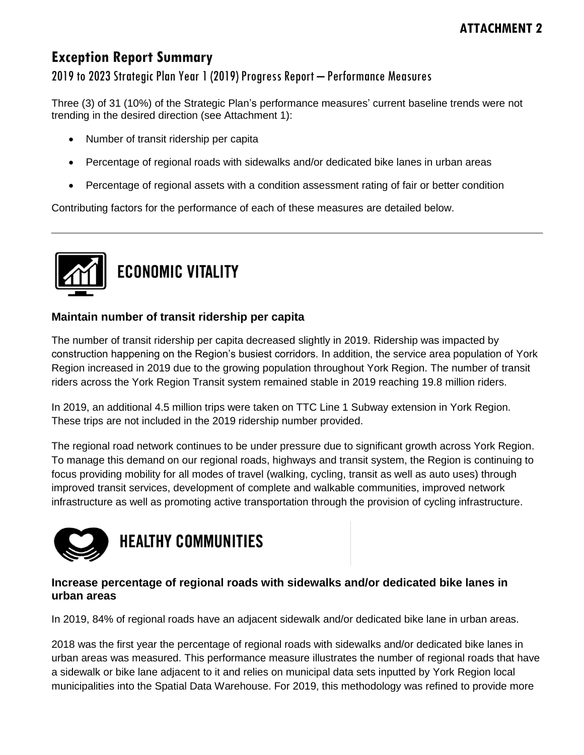## **Exception Report Summary**

## 2019 to 2023 Strategic Plan Year 1 (2019) Progress Report – Performance Measures

Three (3) of 31 (10%) of the Strategic Plan's performance measures' current baseline trends were not trending in the desired direction (see Attachment 1):

- Number of transit ridership per capita
- Percentage of regional roads with sidewalks and/or dedicated bike lanes in urban areas
- Percentage of regional assets with a condition assessment rating of fair or better condition

Contributing factors for the performance of each of these measures are detailed below.



#### **Maintain number of transit ridership per capita**

The number of transit ridership per capita decreased slightly in 2019. Ridership was impacted by construction happening on the Region's busiest corridors. In addition, the service area population of York Region increased in 2019 due to the growing population throughout York Region. The number of transit riders across the York Region Transit system remained stable in 2019 reaching 19.8 million riders.

In 2019, an additional 4.5 million trips were taken on TTC Line 1 Subway extension in York Region. These trips are not included in the 2019 ridership number provided.

The regional road network continues to be under pressure due to significant growth across York Region. To manage this demand on our regional roads, highways and transit system, the Region is continuing to focus providing mobility for all modes of travel (walking, cycling, transit as well as auto uses) through improved transit services, development of complete and walkable communities, improved network infrastructure as well as promoting active transportation through the provision of cycling infrastructure.



**HEALTHY COMMUNITIES** 

#### **Increase percentage of regional roads with sidewalks and/or dedicated bike lanes in urban areas**

In 2019, 84% of regional roads have an adjacent sidewalk and/or dedicated bike lane in urban areas.

2018 was the first year the percentage of regional roads with sidewalks and/or dedicated bike lanes in urban areas was measured. This performance measure illustrates the number of regional roads that have a sidewalk or bike lane adjacent to it and relies on municipal data sets inputted by York Region local municipalities into the Spatial Data Warehouse. For 2019, this methodology was refined to provide more